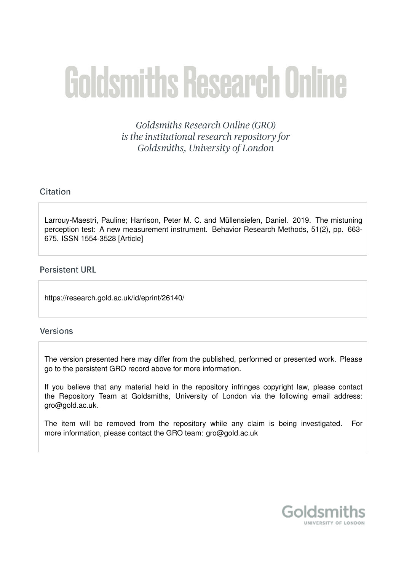# **Goldsmiths Research Online**

Goldsmiths Research Online (GRO) is the institutional research repository for Goldsmiths, University of London

# Citation

Larrouy-Maestri, Pauline: Harrison, Peter M. C. and Müllensiefen, Daniel. 2019. The mistuning perception test: A new measurement instrument. Behavior Research Methods, 51(2), pp. 663- 675. ISSN 1554-3528 [Article]

# **Persistent URL**

https://research.gold.ac.uk/id/eprint/26140/

# **Versions**

The version presented here may differ from the published, performed or presented work. Please go to the persistent GRO record above for more information.

If you believe that any material held in the repository infringes copyright law, please contact the Repository Team at Goldsmiths, University of London via the following email address: gro@gold.ac.uk.

The item will be removed from the repository while any claim is being investigated. For more information, please contact the GRO team: gro@gold.ac.uk

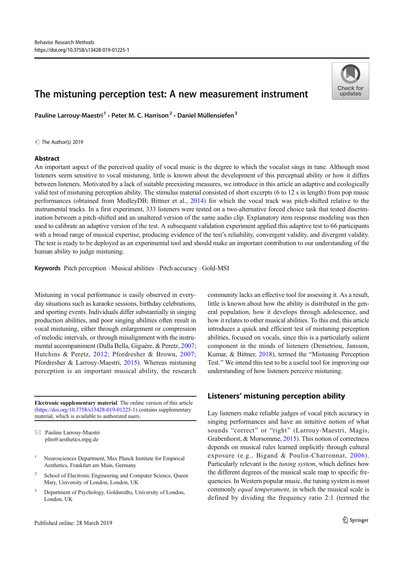# The mistuning perception test: A new measurement instrument

Pauline Larrouy-Maestri<sup>1</sup> · Peter M. C. Harrison<sup>2</sup> · Daniel Müllensiefen<sup>3</sup>

© The Author(s) 2019

#### Abstract



An important aspect of the perceived quality of vocal music is the degree to which the vocalist sings in tune. Although most listeners seem sensitive to vocal mistuning, little is known about the development of this perceptual ability or how it differs between listeners. Motivated by a lack of suitable preexisting measures, we introduce in this article an adaptive and ecologically valid test of mistuning perception ability. The stimulus material consisted of short excerpts (6 to 12 s in length) from pop music performances (obtained from MedleyDB; Bittner et al., 2014) for which the vocal track was pitch-shifted relative to the instrumental tracks. In a first experiment, 333 listeners were tested on a two-alternative forced choice task that tested discrimination between a pitch-shifted and an unaltered version of the same audio clip. Explanatory item response modeling was then used to calibrate an adaptive version of the test. A subsequent validation experiment applied this adaptive test to 66 participants with a broad range of musical expertise, producing evidence of the test's reliability, convergent validity, and divergent validity. The test is ready to be deployed as an experimental tool and should make an important contribution to our understanding of the human ability to judge mistuning.

Keywords Pitch perception . Musical abilities . Pitch accuracy . Gold-MSI

Mistuning in vocal performance is easily observed in everyday situations such as karaoke sessions, birthday celebrations, and sporting events. Individuals differ substantially in singing production abilities, and poor singing abilities often result in vocal mistuning, either through enlargement or compression of melodic intervals, or through misalignment with the instrumental accompaniment (Dalla Bella, Giguère, & Peretz, 2007; Hutchins & Peretz, 2012; Pfordresher & Brown, 2007; Pfordresher & Larrouy-Maestri, 2015). Whereas mistuning perception is an important musical ability, the research

Electronic supplementary material The online version of this article (https://doi.org/10.3758/s13428-019-01225-1) contains supplementary material, which is available to authorized users.

 $\boxtimes$  Pauline Larrouy-Maestri plm@aesthetics.mpg.de

- <sup>1</sup> Neurosciences Department, Max Planck Institute for Empirical Aesthetics, Frankfurt am Main, Germany
- School of Electronic Engineering and Computer Science, Queen Mary, University of London, London, UK
- Department of Psychology, Goldsmiths, University of London, London, UK

community lacks an effective tool for assessing it. As a result, little is known about how the ability is distributed in the general population, how it develops through adolescence, and how it relates to other musical abilities. To this end, this article introduces a quick and efficient test of mistuning perception abilities, focused on vocals, since this is a particularly salient component in the minds of listeners (Demetriou, Jansson, Kumar, & Bittner, 2018), termed the "Mistuning Perception Test.^ We intend this test to be a useful tool for improving our understanding of how listeners perceive mistuning.

# Listeners' mistuning perception ability

Lay listeners make reliable judges of vocal pitch accuracy in singing performances and have an intuitive notion of what sounds "correct" or "right" (Larrouy-Maestri, Magis, Grabenhorst, & Morsomme, 2015). This notion of correctness depends on musical rules learned implicitly through cultural exposure (e.g., Bigand & Poulin-Charronnat, 2006). Particularly relevant is the tuning system, which defines how the different degrees of the musical scale map to specific frequencies. In Western popular music, the tuning system is most commonly equal temperament, in which the musical scale is defined by dividing the frequency ratio 2:1 (termed the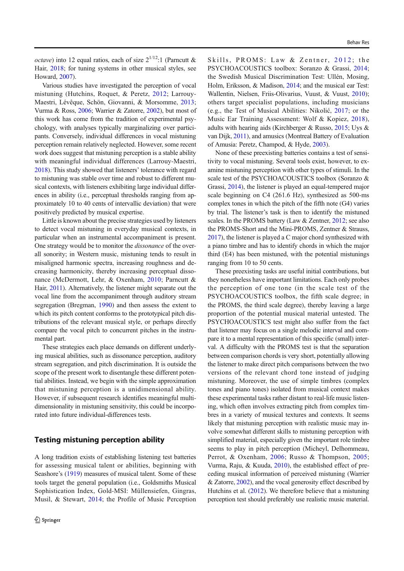octave) into 12 equal ratios, each of size  $2^{1/12}$ :1 (Parncutt & Hair, 2018; for tuning systems in other musical styles, see Howard, 2007).

Various studies have investigated the perception of vocal mistuning (Hutchins, Roquet, & Peretz, 2012; Larrouy-Maestri, Lévêque, Schön, Giovanni, & Morsomme, 2013; Vurma & Ross, 2006; Warrier & Zatorre, 2002), but most of this work has come from the tradition of experimental psychology, with analyses typically marginalizing over participants. Conversely, individual differences in vocal mistuning perception remain relatively neglected. However, some recent work does suggest that mistuning perception is a stable ability with meaningful individual differences (Larrouy-Maestri, 2018). This study showed that listeners' tolerance with regard to mistuning was stable over time and robust to different musical contexts, with listeners exhibiting large individual differences in ability (i.e., perceptual thresholds ranging from approximately 10 to 40 cents of intervallic deviation) that were positively predicted by musical expertise.

Little is known about the precise strategies used by listeners to detect vocal mistuning in everyday musical contexts, in particular when an instrumental accompaniment is present. One strategy would be to monitor the dissonance of the overall sonority; in Western music, mistuning tends to result in misaligned harmonic spectra, increasing roughness and decreasing harmonicity, thereby increasing perceptual dissonance (McDermott, Lehr, & Oxenham, 2010; Parncutt & Hair, 2011). Alternatively, the listener might separate out the vocal line from the accompaniment through auditory stream segregation (Bregman, 1990) and then assess the extent to which its pitch content conforms to the prototypical pitch distributions of the relevant musical style, or perhaps directly compare the vocal pitch to concurrent pitches in the instrumental part.

These strategies each place demands on different underlying musical abilities, such as dissonance perception, auditory stream segregation, and pitch discrimination. It is outside the scope of the present work to disentangle these different potential abilities. Instead, we begin with the simple approximation that mistuning perception is a unidimensional ability. However, if subsequent research identifies meaningful multidimensionality in mistuning sensitivity, this could be incorporated into future individual-differences tests.

# Testing mistuning perception ability

A long tradition exists of establishing listening test batteries for assessing musical talent or abilities, beginning with Seashore's (1919) measures of musical talent. Some of these tools target the general population (i.e., Goldsmiths Musical Sophistication Index, Gold-MSI: Müllensiefen, Gingras, Musil, & Stewart, 2014; the Profile of Music Perception Skills, PROMS: Law & Zentner, 2012; the PSYCHOACOUSTICS toolbox: Soranzo & Grassi, 2014; the Swedish Musical Discrimination Test: Ullén, Mosing, Holm, Eriksson, & Madison, 2014; and the musical ear Test: Wallentin, Nielsen, Friis-Olivarius, Vuust, & Vuust, 2010); others target specialist populations, including musicians (e.g., the Test of Musical Abilities: Nikolić, 2017; or the Music Ear Training Assessment: Wolf & Kopiez, 2018), adults with hearing aids (Kirchberger & Russo, 2015; Uys & van Dijk, 2011), and amusics (Montreal Battery of Evaluation of Amusia: Peretz, Champod, & Hyde, 2003).

None of these preexisting batteries contains a test of sensitivity to vocal mistuning. Several tools exist, however, to examine mistuning perception with other types of stimuli. In the scale test of the PSYCHOACOUSTICS toolbox (Soranzo & Grassi, 2014), the listener is played an equal-tempered major scale beginning on C4 (261.6 Hz), synthesized as 500-ms complex tones in which the pitch of the fifth note (G4) varies by trial. The listener's task is then to identify the mistuned scales. In the PROMS battery (Law & Zentner, 2012; see also the PROMS-Short and the Mini-PROMS, Zentner & Strauss, 2017), the listener is played a C major chord synthesized with a piano timbre and has to identify chords in which the major third (E4) has been mistuned, with the potential mistunings ranging from 10 to 50 cents.

These preexisting tasks are useful initial contributions, but they nonetheless have important limitations. Each only probes the perception of one tone (in the scale test of the PSYCHOACOUSTICS toolbox, the fifth scale degree; in the PROMS, the third scale degree), thereby leaving a large proportion of the potential musical material untested. The PSYCHOACOUSTICS test might also suffer from the fact that listener may focus on a single melodic interval and compare it to a mental representation of this specific (small) interval. A difficulty with the PROMS test is that the separation between comparison chords is very short, potentially allowing the listener to make direct pitch comparisons between the two versions of the relevant chord tone instead of judging mistuning. Moreover, the use of simple timbres (complex tones and piano tones) isolated from musical context makes these experimental tasks rather distant to real-life music listening, which often involves extracting pitch from complex timbres in a variety of musical textures and contexts. It seems likely that mistuning perception with realistic music may involve somewhat different skills to mistuning perception with simplified material, especially given the important role timbre seems to play in pitch perception (Micheyl, Delhommeau, Perrot, & Oxenham, 2006; Russo & Thompson, 2005; Vurma, Raju, & Kuuda, 2010), the established effect of preceding musical information of perceived mistuning (Warrier & Zatorre, 2002), and the vocal generosity effect described by Hutchins et al. (2012). We therefore believe that a mistuning perception test should preferably use realistic music material.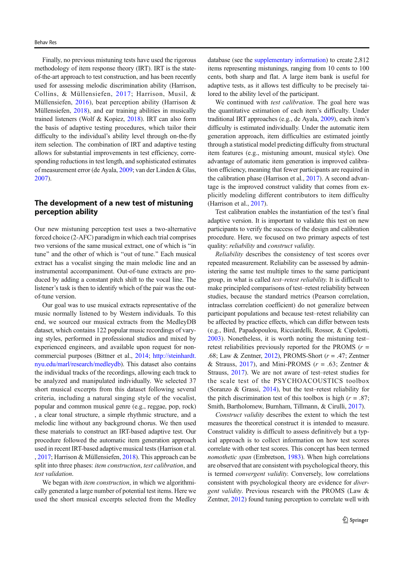Finally, no previous mistuning tests have used the rigorous methodology of item response theory (IRT). IRT is the stateof-the-art approach to test construction, and has been recently used for assessing melodic discrimination ability (Harrison, Collins, & Müllensiefen, 2017; Harrison, Musil, & Müllensiefen, 2016), beat perception ability (Harrison & Müllensiefen, 2018), and ear training abilities in musically trained listeners (Wolf & Kopiez, 2018). IRT can also form the basis of adaptive testing procedures, which tailor their difficulty to the individual's ability level through on-the-fly item selection. The combination of IRT and adaptive testing allows for substantial improvements in test efficiency, corresponding reductions in test length, and sophisticated estimates of measurement error (de Ayala, 2009; van der Linden & Glas, 2007).

# The development of a new test of mistuning perception ability

Our new mistuning perception test uses a two-alternative forced choice (2-AFC) paradigm in which each trial comprises two versions of the same musical extract, one of which is "in tune" and the other of which is "out of tune." Each musical extract has a vocalist singing the main melodic line and an instrumental accompaniment. Out-of-tune extracts are produced by adding a constant pitch shift to the vocal line. The listener's task is then to identify which of the pair was the outof-tune version.

Our goal was to use musical extracts representative of the music normally listened to by Western individuals. To this end, we sourced our musical extracts from the MedleyDB dataset, which contains 122 popular music recordings of varying styles, performed in professional studios and mixed by experienced engineers, and available upon request for noncommercial purposes (Bittner et al., 2014; http://steinhardt. nyu.edu/marl/research/medleydb). This dataset also contains the individual tracks of the recordings, allowing each track to be analyzed and manipulated individually. We selected 37 short musical excerpts from this dataset following several criteria, including a natural singing style of the vocalist, popular and common musical genre (e.g., reggae, pop, rock) , a clear tonal structure, a simple rhythmic structure, and a melodic line without any background chorus. We then used these materials to construct an IRT-based adaptive test. Our procedure followed the automatic item generation approach used in recent IRT-based adaptive musical tests (Harrison et al. , 2017; Harrison & Müllensiefen, 2018). This approach can be split into three phases: item construction, test calibration, and test validation.

We began with *item construction*, in which we algorithmically generated a large number of potential test items. Here we used the short musical excerpts selected from the Medley

database (see the supplementary information) to create 2,812 items representing mistunings, ranging from 10 cents to 100 cents, both sharp and flat. A large item bank is useful for adaptive tests, as it allows test difficulty to be precisely tailored to the ability level of the participant.

We continued with *test calibration*. The goal here was the quantitative estimation of each item's difficulty. Under traditional IRT approaches (e.g., de Ayala, 2009), each item's difficulty is estimated individually. Under the automatic item generation approach, item difficulties are estimated jointly through a statistical model predicting difficulty from structural item features (e.g., mistuning amount, musical style). One advantage of automatic item generation is improved calibration efficiency, meaning that fewer participants are required in the calibration phase (Harrison et al., 2017). A second advantage is the improved construct validity that comes from explicitly modeling different contributors to item difficulty (Harrison et al., 2017).

Test calibration enables the instantiation of the test's final adaptive version. It is important to validate this test on new participants to verify the success of the design and calibration procedure. Here, we focused on two primary aspects of test quality: reliability and construct validity.

Reliability describes the consistency of test scores over repeated measurement. Reliability can be assessed by administering the same test multiple times to the same participant group, in what is called test–retest reliability. It is difficult to make principled comparisons of test–retest reliability between studies, because the standard metrics (Pearson correlation, intraclass correlation coefficient) do not generalize between participant populations and because test–retest reliability can be affected by practice effects, which can differ between tests (e.g., Bird, Papadopoulou, Ricciardelli, Rossor, & Cipolotti, 2003). Nonetheless, it is worth noting the mistuning test– retest reliabilities previously reported for the PROMS  $(r =$ .68; Law & Zentner,  $2012$ ), PROMS-Short ( $r = .47$ ; Zentner & Strauss, 2017), and Mini-PROMS ( $r = .63$ ; Zentner & Strauss, 2017). We are not aware of test–retest studies for the scale test of the PSYCHOACOUSTICS toolbox (Soranzo & Grassi, 2014), but the test–retest reliability for the pitch discrimination test of this toolbox is high  $(r = .87)$ ; Smith, Bartholomew, Burnham, Tillmann, & Cirulli, 2017).

Construct validity describes the extent to which the test measures the theoretical construct it is intended to measure. Construct validity is difficult to assess definitively but a typical approach is to collect information on how test scores correlate with other test scores. This concept has been termed nomothetic span (Embretson, 1983). When high correlations are observed that are consistent with psychological theory, this is termed *convergent validity*. Conversely, low correlations consistent with psychological theory are evidence for divergent validity. Previous research with the PROMS (Law & Zentner, 2012) found tuning perception to correlate well with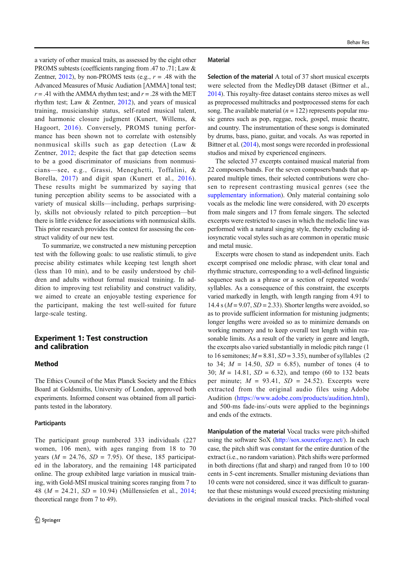a variety of other musical traits, as assessed by the eight other PROMS subtests (coefficients ranging from .47 to .71; Law & Zentner, 2012), by non-PROMS tests (e.g.,  $r = .48$  with the Advanced Measures of Music Audiation [AMMA] tonal test;  $r = .41$  with the AMMA rhythm test; and  $r = .28$  with the MET rhythm test; Law & Zentner, 2012), and years of musical training, musicianship status, self-rated musical talent, and harmonic closure judgment (Kunert, Willems, & Hagoort, 2016). Conversely, PROMS tuning performance has been shown not to correlate with ostensibly nonmusical skills such as gap detection (Law & Zentner, 2012; despite the fact that gap detection seems to be a good discriminator of musicians from nonmusicians—see, e.g., Grassi, Meneghetti, Toffalini, & Borella, 2017) and digit span (Kunert et al., 2016). These results might be summarized by saying that tuning perception ability seems to be associated with a variety of musical skills—including, perhaps surprisingly, skills not obviously related to pitch perception—but there is little evidence for associations with nonmusical skills. This prior research provides the context for assessing the construct validity of our new test.

To summarize, we constructed a new mistuning perception test with the following goals: to use realistic stimuli, to give precise ability estimates while keeping test length short (less than 10 min), and to be easily understood by children and adults without formal musical training. In addition to improving test reliability and construct validity, we aimed to create an enjoyable testing experience for the participant, making the test well-suited for future large-scale testing.

# Experiment 1: Test construction and calibration

## Method

The Ethics Council of the Max Planck Society and the Ethics Board at Goldsmiths, University of London, approved both experiments. Informed consent was obtained from all participants tested in the laboratory.

#### Participants

The participant group numbered 333 individuals (227 women, 106 men), with ages ranging from 18 to 70 years ( $M = 24.76$ ,  $SD = 7.95$ ). Of these, 185 participated in the laboratory, and the remaining 148 participated online. The group exhibited large variation in musical training, with Gold-MSI musical training scores ranging from 7 to 48 ( $M = 24.21$ ,  $SD = 10.94$ ) (Müllensiefen et al., 2014; theoretical range from 7 to 49).

#### **Material**

Selection of the material A total of 37 short musical excerpts were selected from the MedleyDB dataset (Bittner et al., 2014). This royalty-free dataset contains stereo mixes as well as preprocessed multitracks and postprocessed stems for each song. The available material ( $n = 122$ ) represents popular music genres such as pop, reggae, rock, gospel, music theatre, and country. The instrumentation of these songs is dominated by drums, bass, piano, guitar, and vocals. As was reported in Bittner et al. (2014), most songs were recorded in professional studios and mixed by experienced engineers.

The selected 37 excerpts contained musical material from 22 composers/bands. For the seven composers/bands that appeared multiple times, their selected contributions were chosen to represent contrasting musical genres (see the supplementary information). Only material containing solo vocals as the melodic line were considered, with 20 excerpts from male singers and 17 from female singers. The selected excerpts were restricted to cases in which the melodic line was performed with a natural singing style, thereby excluding idiosyncratic vocal styles such as are common in operatic music and metal music.

Excerpts were chosen to stand as independent units. Each excerpt comprised one melodic phrase, with clear tonal and rhythmic structure, corresponding to a well-defined linguistic sequence such as a phrase or a section of repeated words/ syllables. As a consequence of this constraint, the excerpts varied markedly in length, with length ranging from 4.91 to 14.4 s ( $M = 9.07$ ,  $SD = 2.33$ ). Shorter lengths were avoided, so as to provide sufficient information for mistuning judgments; longer lengths were avoided so as to minimize demands on working memory and to keep overall test length within reasonable limits. As a result of the variety in genre and length, the excerpts also varied substantially in melodic pitch range (1 to 16 semitones;  $M = 8.81$ ,  $SD = 3.35$ ), number of syllables (2) to 34;  $M = 14.50$ ,  $SD = 6.85$ ), number of tones (4 to 30;  $M = 14.81$ ,  $SD = 6.32$ ), and tempo (60 to 132 beats per minute;  $M = 93.41$ ,  $SD = 24.52$ ). Excerpts were extracted from the original audio files using Adobe Audition (https://www.adobe.com/products/audition.html), and 500-ms fade-ins/-outs were applied to the beginnings and ends of the extracts.

Manipulation of the material Vocal tracks were pitch-shifted using the software SoX (http://sox.sourceforge.net/). In each case, the pitch shift was constant for the entire duration of the extract (i.e., no random variation). Pitch shifts were performed in both directions (flat and sharp) and ranged from 10 to 100 cents in 5-cent increments. Smaller mistuning deviations than 10 cents were not considered, since it was difficult to guarantee that these mistunings would exceed preexisting mistuning deviations in the original musical tracks. Pitch-shifted vocal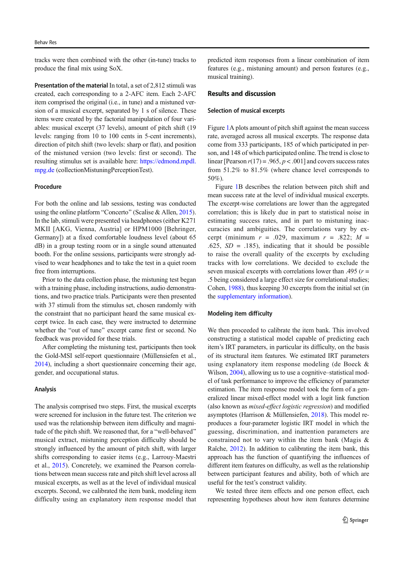tracks were then combined with the other (in-tune) tracks to produce the final mix using SoX.

Presentation of the material In total, a set of 2,812 stimuli was created, each corresponding to a 2-AFC item. Each 2-AFC item comprised the original (i.e., in tune) and a mistuned version of a musical excerpt, separated by 1 s of silence. These items were created by the factorial manipulation of four variables: musical excerpt (37 levels), amount of pitch shift (19 levels: ranging from 10 to 100 cents in 5-cent increments), direction of pitch shift (two levels: sharp or flat), and position of the mistuned version (two levels: first or second). The resulting stimulus set is available here: https://edmond.mpdl. mpg.de (collectionMistuningPerceptionTest).

## Procedure

For both the online and lab sessions, testing was conducted using the online platform "Concerto" (Scalise & Allen, 2015). In the lab, stimuli were presented via headphones (either K271 MKII [AKG, Vienna, Austria] or HPM1000 [Behringer, Germany]) at a fixed comfortable loudness level (about 65 dB) in a group testing room or in a single sound attenuated booth. For the online sessions, participants were strongly advised to wear headphones and to take the test in a quiet room free from interruptions.

Prior to the data collection phase, the mistuning test began with a training phase, including instructions, audio demonstrations, and two practice trials. Participants were then presented with 37 stimuli from the stimulus set, chosen randomly with the constraint that no participant heard the same musical excerpt twice. In each case, they were instructed to determine whether the "out of tune" excerpt came first or second. No feedback was provided for these trials.

After completing the mistuning test, participants then took the Gold-MSI self-report questionnaire (Müllensiefen et al., 2014), including a short questionnaire concerning their age, gender, and occupational status.

#### Analysis

The analysis comprised two steps. First, the musical excerpts were screened for inclusion in the future test. The criterion we used was the relationship between item difficulty and magnitude of the pitch shift. We reasoned that, for a "well-behaved" musical extract, mistuning perception difficulty should be strongly influenced by the amount of pitch shift, with larger shifts corresponding to easier items (e.g., Larrouy-Maestri et al., 2015). Concretely, we examined the Pearson correlations between mean success rate and pitch shift level across all musical excerpts, as well as at the level of individual musical excerpts. Second, we calibrated the item bank, modeling item difficulty using an explanatory item response model that

predicted item responses from a linear combination of item features (e.g., mistuning amount) and person features (e.g., musical training).

# Results and discussion

#### Selection of musical excerpts

Figure 1A plots amount of pitch shift against the mean success rate, averaged across all musical excerpts. The response data come from 333 participants, 185 of which participated in person, and 148 of which participated online. The trend is close to linear [Pearson  $r(17) = .965$ ,  $p < .001$ ] and covers success rates from 51.2% to 81.5% (where chance level corresponds to 50%).

Figure 1B describes the relation between pitch shift and mean success rate at the level of individual musical excerpts. The excerpt-wise correlations are lower than the aggregated correlation; this is likely due in part to statistical noise in estimating success rates, and in part to mistuning inaccuracies and ambiguities. The correlations vary by excerpt (minimum  $r = .029$ , maximum  $r = .822$ ;  $M =$ .625,  $SD = .185$ ), indicating that it should be possible to raise the overall quality of the excerpts by excluding tracks with low correlations. We decided to exclude the seven musical excerpts with correlations lower than .495 ( $r =$ .5 being considered a large effect size for correlational studies; Cohen, 1988), thus keeping 30 excerpts from the initial set (in the supplementary information).

#### Modeling item difficulty

We then proceeded to calibrate the item bank. This involved constructing a statistical model capable of predicting each item's IRT parameters, in particular its difficulty, on the basis of its structural item features. We estimated IRT parameters using explanatory item response modeling (de Boeck & Wilson, 2004), allowing us to use a cognitive–statistical model of task performance to improve the efficiency of parameter estimation. The item response model took the form of a generalized linear mixed-effect model with a logit link function (also known as mixed-effect logistic regression) and modified asymptotes (Harrison & Müllensiefen, 2018). This model reproduces a four-parameter logistic IRT model in which the guessing, discrimination, and inattention parameters are constrained not to vary within the item bank (Magis & Raîche, 2012). In addition to calibrating the item bank, this approach has the function of quantifying the influences of different item features on difficulty, as well as the relationship between participant features and ability, both of which are useful for the test's construct validity.

We tested three item effects and one person effect, each representing hypotheses about how item features determine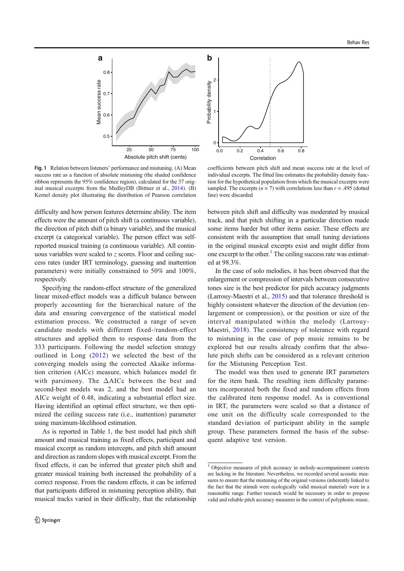

Fig. 1 Relation between listeners' performance and mistuning. (A) Mean success rate as a function of absolute mistuning (the shaded confidence ribbon represents the 95% confidence region), calculated for the 37 original musical excerpts from the MedleyDB (Bittner et al., 2014). (B) Kernel density plot illustrating the distribution of Pearson correlation

difficulty and how person features determine ability. The item effects were the amount of pitch shift (a continuous variable), the direction of pitch shift (a binary variable), and the musical excerpt (a categorical variable). The person effect was selfreported musical training (a continuous variable). All continuous variables were scaled to z scores. Floor and ceiling success rates (under IRT terminology, guessing and inattention parameters) were initially constrained to 50% and 100%, respectively.

Specifying the random-effect structure of the generalized linear mixed-effect models was a difficult balance between properly accounting for the hierarchical nature of the data and ensuring convergence of the statistical model estimation process. We constructed a range of seven candidate models with different fixed-/random-effect structures and applied them to response data from the 333 participants. Following the model selection strategy outlined in Long (2012) we selected the best of the converging models using the corrected Akaike information criterion (AICc) measure, which balances model fit with parsimony. The ΔAICc between the best and second-best models was 2, and the best model had an AICc weight of 0.48, indicating a substantial effect size. Having identified an optimal effect structure, we then optimized the ceiling success rate (i.e., inattention) parameter using maximum-likelihood estimation.

As is reported in Table 1, the best model had pitch shift amount and musical training as fixed effects, participant and musical excerpt as random intercepts, and pitch shift amount and direction as random slopes with musical excerpt. From the fixed effects, it can be inferred that greater pitch shift and greater musical training both increased the probability of a correct response. From the random effects, it can be inferred that participants differed in mistuning perception ability, that musical tracks varied in their difficulty, that the relationship



coefficients between pitch shift and mean success rate at the level of individual excerpts. The fitted line estimates the probability density function for the hypothetical population from which the musical excerpts were sampled. The excerpts ( $n = 7$ ) with correlations less than  $r = .495$  (dotted line) were discarded

between pitch shift and difficulty was moderated by musical track, and that pitch shifting in a particular direction made some items harder but other items easier. These effects are consistent with the assumption that small tuning deviations in the original musical excerpts exist and might differ from one excerpt to the other.<sup>1</sup> The ceiling success rate was estimated at 98.3%.

In the case of solo melodies, it has been observed that the enlargement or compression of intervals between consecutive tones size is the best predictor for pitch accuracy judgments (Larrouy-Maestri et al., 2015) and that tolerance threshold is highly consistent whatever the direction of the deviation (enlargement or compression), or the position or size of the interval manipulated within the melody (Larrouy-Maestri, 2018). The consistency of tolerance with regard to mistuning in the case of pop music remains to be explored but our results already confirm that the absolute pitch shifts can be considered as a relevant criterion for the Mistuning Perception Test.

The model was then used to generate IRT parameters for the item bank. The resulting item difficulty parameters incorporated both the fixed and random effects from the calibrated item response model. As is conventional in IRT, the parameters were scaled so that a distance of one unit on the difficulty scale corresponded to the standard deviation of participant ability in the sample group. These parameters formed the basis of the subsequent adaptive test version.

<sup>&</sup>lt;sup>1</sup> Objective measures of pitch accuracy in melody-accompaniment contexts are lacking in the literature. Nevertheless, we recorded several acoustic measures to ensure that the mistuning of the original versions (inherently linked to the fact that the stimuli were ecologically valid musical material) were in a reasonable range. Further research would be necessary in order to propose valid and reliable pitch accuracy measures in the context of polyphonic music.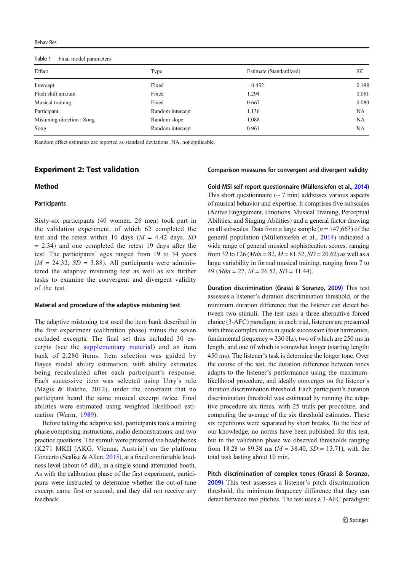Table 1 Final model parameters

| Effect                     | Type             | Estimate (Standardized) | SЕ        |
|----------------------------|------------------|-------------------------|-----------|
| Intercept                  | Fixed            | $-0.432$                | 0.198     |
| Pitch shift amount         | Fixed            | 1.294                   | 0.061     |
| Musical training           | Fixed            | 0.667                   | 0.080     |
| Participant                | Random intercept | 1.136                   | NA.       |
| Mistuning direction : Song | Random slope     | 1.088                   | <b>NA</b> |
| Song                       | Random intercept | 0.961                   | NA        |
|                            |                  |                         |           |

Random effect estimates are reported as standard deviations. NA, not applicable.

# Experiment 2: Test validation

## Method

# Participants

Sixty-six participants (40 women, 26 men) took part in the validation experiment, of which 62 completed the test and the retest within 10 days  $(M = 4.42$  days, SD = 2.34) and one completed the retest 19 days after the test. The participants' ages ranged from 19 to 34 years  $(M = 24.32, SD = 3.88)$ . All participants were administered the adaptive mistuning test as well as six further tasks to examine the convergent and divergent validity of the test.

#### Material and procedure of the adaptive mistuning test

The adaptive mistuning test used the item bank described in the first experiment (calibration phase) minus the seven excluded excerpts. The final set thus included 30 excerpts (see the supplementary material) and an item bank of 2,280 items. Item selection was guided by Bayes modal ability estimation, with ability estimates being recalculated after each participant's response. Each successive item was selected using Urry's rule (Magis & Raîche, 2012), under the constraint that no participant heard the same musical excerpt twice. Final abilities were estimated using weighted likelihood estimation (Warm, 1989).

Before taking the adaptive test, participants took a training phase comprising instructions, audio demonstrations, and two practice questions. The stimuli were presented via headphones (K271 MKII [AKG, Vienna, Austria]) on the platform Concerto (Scalise & Allen, 2015), at a fixed comfortable loudness level (about 65 dB), in a single sound-attenuated booth. As with the calibration phase of the first experiment, participants were instructed to determine whether the out-of-tune excerpt came first or second, and they did not receive any feedback.

## Comparison measures for convergent and divergent validity

Gold-MSI self-report questionnaire (Müllensiefen et al., 2014) This short questionnaire  $($   $\sim$  7 min) addresses various aspects of musical behavior and expertise. It comprises five subscales (Active Engagement, Emotions, Musical Training, Perceptual Abilities, and Singing Abilities) and a general factor drawing on all subscales. Data from a large sample ( $n = 147,663$ ) of the general population (Müllensiefen et al., 2014) indicated a wide range of general musical sophistication scores, ranging from 32 to 126 ( $Mdn = 82$ ,  $M = 81.52$ ,  $SD = 20.62$ ) as well as a large variability in formal musical training, ranging from 7 to 49 (*Mdn* = 27,  $M = 26.52$ ,  $SD = 11.44$ ).

Duration discrimination (Grassi & Soranzo, 2009) This test assesses a listener's duration discrimination threshold, or the minimum duration difference that the listener can detect between two stimuli. The test uses a three-alternative forced choice (3-AFC) paradigm; in each trial, listeners are presented with three complex tones in quick succession (four harmonics, fundamental frequency = 330 Hz), two of which are 250 ms in length, and one of which is somewhat longer (starting length: 450 ms). The listener's task is determine the longer tone. Over the course of the test, the duration difference between tones adapts to the listener's performance using the maximumlikelihood procedure, and ideally converges on the listener's duration discrimination threshold. Each participant's duration discrimination threshold was estimated by running the adaptive procedure six times, with 25 trials per procedure, and computing the average of the six threshold estimates. These six repetitions were separated by short breaks. To the best of our knowledge, no norms have been published for this test, but in the validation phase we observed thresholds ranging from 18.28 to 89.38 ms ( $M = 38.40$ ,  $SD = 13.71$ ), with the total task lasting about 10 min.

Pitch discrimination of complex tones (Grassi & Soranzo, 2009) This test assesses a listener's pitch discrimination threshold, the minimum frequency difference that they can detect between two pitches. The test uses a 3-AFC paradigm;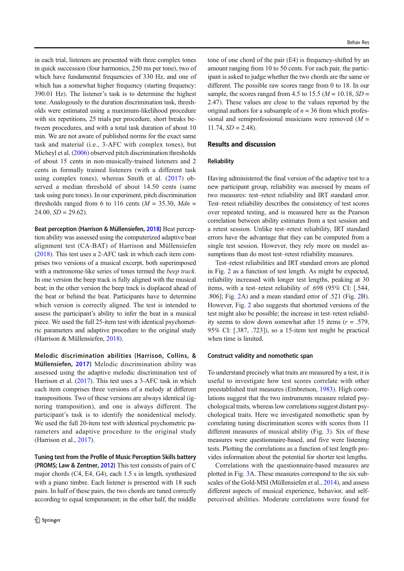in each trial, listeners are presented with three complex tones in quick succession (four harmonics, 250 ms per tone), two of which have fundamental frequencies of 330 Hz, and one of which has a somewhat higher frequency (starting frequency: 390.01 Hz). The listener's task is to determine the highest tone. Analogously to the duration discrimination task, thresholds were estimated using a maximum-likelihood procedure with six repetitions, 25 trials per procedure, short breaks between procedures, and with a total task duration of about 10 min. We are not aware of published norms for the exact same task and material (i.e., 3-AFC with complex tones), but Micheyl et al. (2006) observed pitch discrimination thresholds of about 15 cents in non-musically-trained listeners and 2 cents in formally trained listeners (with a different task using complex tones), whereas Smith et al. (2017) observed a median threshold of about 14.50 cents (same task using pure tones). In our experiment, pitch discrimination thresholds ranged from 6 to 116 cents ( $M = 35.30$ ,  $Mdn =$  $24.00, SD = 29.62$ ).

Beat perception (Harrison & Müllensiefen, 2018) Beat perception ability was assessed using the computerized adaptive beat alignment test (CA-BAT) of Harrison and Müllensiefen (2018). This test uses a 2-AFC task in which each item comprises two versions of a musical excerpt, both superimposed with a metronome-like series of tones termed the beep track. In one version the beep track is fully aligned with the musical beat; in the other version the beep track is displaced ahead of the beat or behind the beat. Participants have to determine which version is correctly aligned. The test is intended to assess the participant's ability to infer the beat in a musical piece. We used the full 25-item test with identical psychometric parameters and adaptive procedure to the original study (Harrison & Müllensiefen, 2018).

Melodic discrimination abilities (Harrison, Collins, & Müllensiefen, 2017) Melodic discrimination ability was assessed using the adaptive melodic discrimination test of Harrison et al. (2017). This test uses a 3-AFC task in which each item comprises three versions of a melody at different transpositions. Two of these versions are always identical (ignoring transposition), and one is always different. The participant's task is to identify the nonidentical melody. We used the full 20-item test with identical psychometric parameters and adaptive procedure to the original study (Harrison et al., 2017).

Tuning test from the Profile of Music Perception Skills battery (PROMS; Law & Zentner, 2012) This test consists of pairs of C major chords (C4, E4, G4), each 1.5 s in length, synthesized with a piano timbre. Each listener is presented with 18 such pairs. In half of these pairs, the two chords are tuned correctly according to equal temperament; in the other half, the middle tone of one chord of the pair (E4) is frequency-shifted by an amount ranging from 10 to 50 cents. For each pair, the participant is asked to judge whether the two chords are the same or different. The possible raw scores range from 0 to 18. In our sample, the scores ranged from 4.5 to 15.5 ( $M = 10.18$ ,  $SD =$ 2.47). These values are close to the values reported by the original authors for a subsample of  $n = 36$  from which professional and semiprofessional musicians were removed  $(M =$  $11.74$ ,  $SD = 2.48$ ).

# Results and discussion

#### Reliability

Having administered the final version of the adaptive test to a new participant group, reliability was assessed by means of two measures: test–retest reliability and IRT standard error. Test–retest reliability describes the consistency of test scores over repeated testing, and is measured here as the Pearson correlation between ability estimates from a test session and a retest session. Unlike test–retest reliability, IRT standard errors have the advantage that they can be computed from a single test session. However, they rely more on model assumptions than do most test–retest reliability measures.

Test–retest reliabilities and IRT standard errors are plotted in Fig. 2 as a function of test length. As might be expected, reliability increased with longer test lengths, peaking at 30 items, with a test–retest reliability of .698 (95% CI: [.544, .806]; Fig. 2A) and a mean standard error of .521 (Fig. 2B). However, Fig. 2 also suggests that shortened versions of the test might also be possible; the increase in test–retest reliability seems to slow down somewhat after 15 items  $(r = .579, )$ 95% CI: [.387, .723]), so a 15-item test might be practical when time is limited.

#### Construct validity and nomothetic span

To understand precisely what traits are measured by a test, it is useful to investigate how test scores correlate with other preestablished trait measures (Embretson, 1983). High correlations suggest that the two instruments measure related psychological traits, whereas low correlations suggest distant psychological traits. Here we investigated nomothetic span by correlating tuning discrimination scores with scores from 11 different measures of musical ability (Fig. 3). Six of these measures were questionnaire-based, and five were listening tests. Plotting the correlations as a function of test length provides information about the potential for shorter test lengths.

Correlations with the questionnaire-based measures are plotted in Fig. 3A. These measures correspond to the six subscales of the Gold-MSI (Müllensiefen et al., 2014), and assess different aspects of musical experience, behavior, and selfperceived abilities. Moderate correlations were found for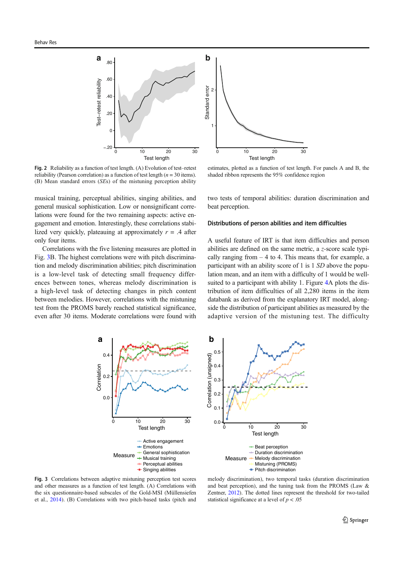

Fig. 2 Reliability as a function of test length. (A) Evolution of test–retest reliability (Pearson correlation) as a function of test length ( $n = 30$  items). (B) Mean standard errors (SEs) of the mistuning perception ability

musical training, perceptual abilities, singing abilities, and general musical sophistication. Low or nonsignificant correlations were found for the two remaining aspects: active engagement and emotion. Interestingly, these correlations stabilized very quickly, plateauing at approximately  $r = .4$  after only four items.

Correlations with the five listening measures are plotted in Fig. 3B. The highest correlations were with pitch discrimination and melody discrimination abilities; pitch discrimination is a low-level task of detecting small frequency differences between tones, whereas melody discrimination is a high-level task of detecting changes in pitch content between melodies. However, correlations with the mistuning test from the PROMS barely reached statistical significance, even after 30 items. Moderate correlations were found with

estimates, plotted as a function of test length. For panels A and B, the shaded ribbon represents the 95% confidence region

two tests of temporal abilities: duration discrimination and beat perception.

### Distributions of person abilities and item difficulties

A useful feature of IRT is that item difficulties and person abilities are defined on the same metric, a z-score scale typically ranging from  $-4$  to 4. This means that, for example, a participant with an ability score of 1 is 1 SD above the population mean, and an item with a difficulty of 1 would be wellsuited to a participant with ability 1. Figure 4A plots the distribution of item difficulties of all 2,280 items in the item databank as derived from the explanatory IRT model, alongside the distribution of participant abilities as measured by the adaptive version of the mistuning test. The difficulty





Fig. 3 Correlations between adaptive mistuning perception test scores and other measures as a function of test length. (A) Correlations with the six questionnaire-based subscales of the Gold-MSI (Müllensiefen et al., 2014). (B) Correlations with two pitch-based tasks (pitch and

melody discrimination), two temporal tasks (duration discrimination and beat perception), and the tuning task from the PROMS (Law & Zentner, 2012). The dotted lines represent the threshold for two-tailed statistical significance at a level of  $p < .05$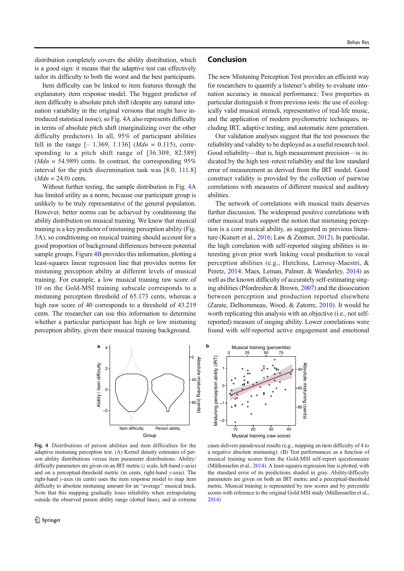distribution completely covers the ability distribution, which is a good sign: it means that the adaptive test can effectively tailor its difficulty to both the worst and the best participants.

Item difficulty can be linked to item features through the explanatory item response model. The biggest predictor of item difficulty is absolute pitch shift (despite any natural intonation variability in the original versions that might have introduced statistical noise), so Fig. 4A also represents difficulty in terms of absolute pitch shift (marginalizing over the other difficulty predictors). In all, 95% of participant abilities fell in the range  $[- 1.369, 1.136]$  (*Mdn* = 0.115), corresponding to a pitch shift range of [36.309, 82.589]  $(Mdn = 54.989)$  cents. In contrast, the corresponding 95% interval for the pitch discrimination task was [8.0, 111.8]  $(Mdn = 24.0)$  cents.

Without further testing, the sample distribution in Fig. 4A has limited utility as a norm, because our participant group is unlikely to be truly representative of the general population. However, better norms can be achieved by conditioning the ability distribution on musical training. We know that musical training is a key predictor of mistuning perception ability (Fig. 3A), so conditioning on musical training should account for a good proportion of background differences between potential sample groups. Figure 4B provides this information, plotting a least-squares linear regression line that provides norms for mistuning perception ability at different levels of musical training. For example, a low musical training raw score of 10 on the Gold-MSI training subscale corresponds to a mistuning perception threshold of 65.173 cents, whereas a high raw score of 40 corresponds to a threshold of 43.219 cents. The researcher can use this information to determine whether a particular participant has high or low mistuning perception ability, given their musical training background.

# Conclusion

The new Mistuning Perception Test provides an efficient way for researchers to quantify a listener's ability to evaluate intonation accuracy in musical performance. Two properties in particular distinguish it from previous tests: the use of ecologically valid musical stimuli, representative of real-life music, and the application of modern psychometric techniques, including IRT, adaptive testing, and automatic item generation.

Our validation analyses suggest that the test possesses the reliability and validity to be deployed as a useful research tool. Good reliability—that is, high measurement precision—is indicated by the high test–retest reliability and the low standard error of measurement as derived from the IRT model. Good construct validity is provided by the collection of pairwise correlations with measures of different musical and auditory abilities.

The network of correlations with musical traits deserves further discussion. The widespread positive correlations with other musical traits support the notion that mistuning perception is a core musical ability, as suggested in previous literature (Kunert et al., 2016; Law & Zentner, 2012). In particular, the high correlation with self-reported singing abilities is interesting given prior work linking vocal production to vocal perception abilities (e.g., Hutchins, Larrouy-Maestri, & Peretz, 2014; Maes, Leman, Palmer, & Wanderley, 2014) as well as the known difficulty of accurately self-estimating singing abilities (Pfordresher & Brown, 2007) and the dissociation between perception and production reported elsewhere (Zarate, Delhommeau, Wood, & Zatorre, 2010). It would be worth replicating this analysis with an objective (i.e., not selfreported) measure of singing ability. Lower correlations were found with self-reported active engagement and emotional



Fig. 4 Distributions of person abilities and item difficulties for the adaptive mistuning perception test. (A) Kernel density estimates of person ability distributions versus item parameter distributions. Ability/ difficulty parameters are given on an IRT metric (z scale, left-hand y-axis) and on a perceptual-threshold metric (in cents, right-hand y-axis). The right-hand y-axis (in cents) uses the item response model to map item difficulty to absolute mistuning amount for an "average" musical track. Note that this mapping gradually loses reliability when extrapolating outside the observed person ability range (dotted lines), and in extreme

cases delivers paradoxical results (e.g., mapping an item difficulty of 4 to a negative absolute mistuning). (B) Test performances as a function of musical training scores from the Gold-MSI self-report questionnaire (Müllensiefen et al., 2014). A least-squares regression line is plotted, with the standard error of its predictions shaded in gray. Ability/difficulty parameters are given on both an IRT metric and a perceptual-threshold metric. Musical training is represented by raw scores and by percentile scores with reference to the original Gold-MSI study (Müllensiefen et al., 2014)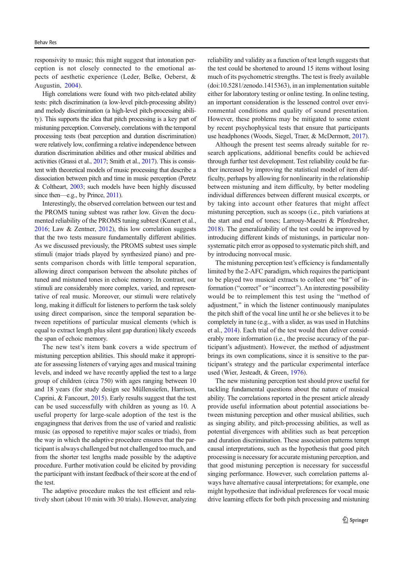responsivity to music; this might suggest that intonation perception is not closely connected to the emotional aspects of aesthetic experience (Leder, Belke, Oeberst, & Augustin, 2004).

High correlations were found with two pitch-related ability tests: pitch discrimination (a low-level pitch-processing ability) and melody discrimination (a high-level pitch-processing ability). This supports the idea that pitch processing is a key part of mistuning perception. Conversely, correlations with the temporal processing tests (beat perception and duration discrimination) were relatively low, confirming a relative independence between duration discrimination abilities and other musical abilities and activities (Grassi et al., 2017; Smith et al., 2017). This is consistent with theoretical models of music processing that describe a dissociation between pitch and time in music perception (Peretz & Coltheart, 2003; such models have been highly discussed since then—e.g., by Prince, 2011).

Interestingly, the observed correlation between our test and the PROMS tuning subtest was rather low. Given the documented reliability of the PROMS tuning subtest (Kunert et al., 2016; Law & Zentner, 2012), this low correlation suggests that the two tests measure fundamentally different abilities. As we discussed previously, the PROMS subtest uses simple stimuli (major triads played by synthesized piano) and presents comparison chords with little temporal separation, allowing direct comparison between the absolute pitches of tuned and mistuned tones in echoic memory. In contrast, our stimuli are considerably more complex, varied, and representative of real music. Moreover, our stimuli were relatively long, making it difficult for listeners to perform the task solely using direct comparison, since the temporal separation between repetitions of particular musical elements (which is equal to extract length plus silent gap duration) likely exceeds the span of echoic memory.

The new test's item bank covers a wide spectrum of mistuning perception abilities. This should make it appropriate for assessing listeners of varying ages and musical training levels, and indeed we have recently applied the test to a large group of children (circa 750) with ages ranging between 10 and 18 years (for study design see Müllensiefen, Harrison, Caprini, & Fancourt, 2015). Early results suggest that the test can be used successfully with children as young as 10. A useful property for large-scale adoption of the test is the engagingness that derives from the use of varied and realistic music (as opposed to repetitive major scales or triads), from the way in which the adaptive procedure ensures that the participant is always challenged but not challenged too much, and from the shorter test lengths made possible by the adaptive procedure. Further motivation could be elicited by providing the participant with instant feedback of their score at the end of the test.

The adaptive procedure makes the test efficient and relatively short (about 10 min with 30 trials). However, analyzing reliability and validity as a function of test length suggests that the test could be shortened to around 15 items without losing much of its psychometric strengths. The test is freely available (doi:10.5281/zenodo.1415363), in an implementation suitable either for laboratory testing or online testing. In online testing, an important consideration is the lessened control over environmental conditions and quality of sound presentation. However, these problems may be mitigated to some extent by recent psychophysical tests that ensure that participants use headphones (Woods, Siegel, Traer, & McDermott, 2017).

Although the present test seems already suitable for research applications, additional benefits could be achieved through further test development. Test reliability could be further increased by improving the statistical model of item difficulty, perhaps by allowing for nonlinearity in the relationship between mistuning and item difficulty, by better modeling individual differences between different musical excerpts, or by taking into account other features that might affect mistuning perception, such as scoops (i.e., pitch variations at the start and end of tones; Larrouy-Maestri & Pfordresher, 2018). The generalizability of the test could be improved by introducing different kinds of mistunings, in particular nonsystematic pitch error as opposed to systematic pitch shift, and by introducing nonvocal music.

The mistuning perception test's efficiency is fundamentally limited by the 2-AFC paradigm, which requires the participant to be played two musical extracts to collect one "bit" of information ("correct" or "incorrect"). An interesting possibility would be to reimplement this test using the "method of adjustment," in which the listener continuously manipulates the pitch shift of the vocal line until he or she believes it to be completely in tune (e.g., with a slider, as was used in Hutchins et al., 2014). Each trial of the test would then deliver considerably more information (i.e., the precise accuracy of the participant's adjustment). However, the method of adjustment brings its own complications, since it is sensitive to the participant's strategy and the particular experimental interface used (Wier, Jesteadt, & Green, 1976).

The new mistuning perception test should prove useful for tackling fundamental questions about the nature of musical ability. The correlations reported in the present article already provide useful information about potential associations between mistuning perception and other musical abilities, such as singing ability, and pitch-processing abilities, as well as potential divergences with abilities such as beat perception and duration discrimination. These association patterns tempt causal interpretations, such as the hypothesis that good pitch processing is necessary for accurate mistuning perception, and that good mistuning perception is necessary for successful singing performance. However, such correlation patterns always have alternative causal interpretations; for example, one might hypothesize that individual preferences for vocal music drive learning effects for both pitch processing and mistuning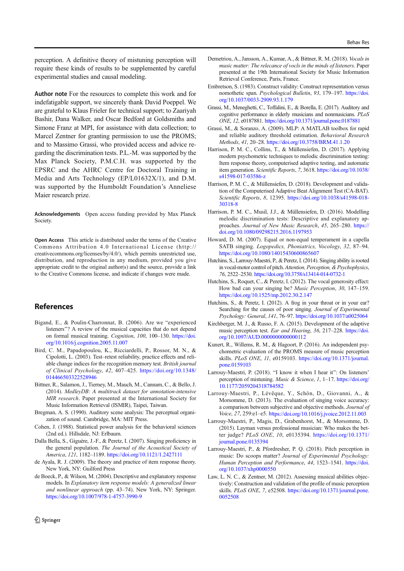Behav Res

perception. A definitive theory of mistuning perception will require these kinds of results to be supplemented by careful experimental studies and causal modeling.

Author note For the resources to complete this work and for indefatigable support, we sincerely thank David Poeppel. We are grateful to Klaus Frieler for technical support; to Zaariyah Bashir, Dana Walker, and Oscar Bedford at Goldsmiths and Simone Franz at MPI, for assistance with data collection; to Marcel Zentner for granting permission to use the PROMS; and to Massimo Grassi, who provided access and advice regarding the discrimination tests. P.L.-M. was supported by the Max Planck Society, P.M.C.H. was supported by the EPSRC and the AHRC Centre for Doctoral Training in Media and Arts Technology (EP/L01632X/1), and D.M. was supported by the Humboldt Foundation's Anneliese Maier research prize.

Acknowledgements Open access funding provided by Max Planck Society.

Open Access This article is distributed under the terms of the Creative Commons Attribution 4.0 International License (http:// creativecommons.org/licenses/by/4.0/), which permits unrestricted use, distribution, and reproduction in any medium, provided you give appropriate credit to the original author(s) and the source, provide a link to the Creative Commons license, and indicate if changes were made.

# References

- Bigand, E., & Poulin-Charronnat, B. (2006). Are we "experienced listeners"? A review of the musical capacities that do not depend on formal musical training. Cognition, 100, 100–130. https://doi. org/10.1016/j.cognition.2005.11.007
- Bird, C. M., Papadopoulou, K., Ricciardelli, P., Rossor, M. N., & Cipolotti, L. (2003). Test–retest reliability, practice effects and reliable change indices for the recognition memory test. British journal of Clinical Psychology, 42, 407–425. https://doi.org/10.1348/ 014466503322528946
- Bittner, R., Salamon, J., Tierney, M., Mauch, M., Cannam, C., & Bello, J. (2014). MedleyDB: A multitrack dataset for annotation-intensive MIR research. Paper presented at the International Society for Music Information Retrieval (ISMIR), Taipei, Taiwan.
- Bregman, A. S. (1990). Auditory scene analysis: The perceptual organization of sound. Cambridge, MA: MIT Press.
- Cohen, J. (1988). Statistical power analysis for the behavioral sciences (2nd ed.). Hillsdale, NJ: Erlbaum.
- Dalla Bella, S., Giguère, J.-F., & Peretz, I. (2007). Singing proficiency in the general population. The Journal of the Acoustical Society of America, 121, 1182–1189. https://doi.org/10.1121/1.2427111
- de Ayala, R. J. (2009). The theory and practice of item response theory. New York, NY: Guilford Press
- de Boeck, P., & Wilson, M. (2004). Descriptive and explanatory response models. In Explanatory item response models: A generalized linear and nonlinear approach (pp. 43–74). New York, NY: Springer. https://doi.org/10.1007/978-1-4757-3990-9
- Demetriou, A., Jansson, A., Kumar, A., & Bittner, R. M. (2018). Vocals in music matter: The relecance of vocls in the minds of listeners. Paper presented at the 19th International Society for Music Information Retrieval Conference, Paris, France.
- Embretson, S. (1983). Construct validity: Construct representation versus nomothetic span. Psychological Bulletin, 93, 179–197. https://doi. org/10.1037/0033-2909.93.1.179
- Grassi, M., Meneghetti, C., Toffalini, E., & Borella, E. (2017). Auditory and cognitive performance in elderly musicians and nonmusicians. PLoS ONE, 12, e0187881. https://doi.org/10.1371/journal.pone.0187881
- Grassi, M., & Soranzo, A. (2009). MLP: A MATLAB toolbox for rapid and reliable auditory threshold estimation. Behavioral Research Methods, 41, 20–28. https://doi.org/10.3758/BRM.41.1.20
- Harrison, P. M. C., Collins, T., & Müllensiefen, D. (2017). Applying modern psychometric techniques to melodic discrimination testing: Item response theory, computerised adaptive testing, and automatic item generation. Scientific Reports, 7, 3618. https://doi.org/10.1038/ s41598-017-03586-z
- Harrison, P. M. C., & Müllensiefen, D. (2018). Development and validation of the Computerised Adaptive Beat Alignment Test (CA-BAT). Scientific Reports, 8, 12395. https://doi.org/10.1038/s41598-018-30318-8
- Harrison, P. M. C., Musil, J.J., & Müllensiefen, D. (2016). Modelling melodic discrimination tests: Descriptive and explanatory approaches. Journal of New Music Research, 45, 265–280. https:// doi.org/10.1080/09298215.2016.1197953
- Howard, D. M. (2007). Equal or non-equal temperament in a capella SATB singing. Logopedics, Phoniatrics, Vocology, 32, 87–94. https://doi.org/10.1080/14015430600865607
- Hutchins, S., Larrouy-Maestri, P., & Peretz, I. (2014). Singing ability is rooted in vocal-motor control of pitch. Attention, Perception, & Psychophysics, 76, 2522–2530. https://doi.org/10.3758/s13414-014-0732-1
- Hutchins, S., Roquet, C., & Peretz, I. (2012). The vocal generosity effect: How bad can your singing be? Music Perception, 30, 147–159. https://doi.org/10.1525/mp.2012.30.2.147
- Hutchins, S., & Peretz, I. (2012). A frog in your throat or in your ear? Searching for the causes of poor singing. Journal of Experimental Psychology: General, 141, 76–97. https://doi.org/10.1037/a0025064
- Kirchberger, M. J., & Russo, F. A. (2015). Development of the adaptive music perception test. Ear and Hearing, 36, 217–228. https://doi. org/10.1097/AUD.0000000000000112
- Kunert, R., Willems, R. M., & Hagoort, P. (2016). An independent psychometric evaluation of the PROMS measure of music perception skills. PLoS ONE, 11, e0159103. https://doi.org/10.1371/journal. pone.0159103
- Larrouy-Maestri, P. (2018). "I know it when I hear it": On listeners' perception of mistuning. Music & Science, 1, 1–17. https://doi.org/ 10.1177/2059204318784582
- Larrouy-Maestri, P., Lévêque, Y., Schön, D., Giovanni, A., & Morsomme, D. (2013). The evaluation of singing voice accuracy: a comparison between subjective and objective methods. Journal of Voice, 27, 259:e1–e5. https://doi.org/10.1016/j.jvoice.2012.11.003
- Larrouy-Maestri, P., Magis, D., Grabenhorst, M., & Morsomme, D. (2015). Layman versus professional musician: Who makes the better judge? PLoS ONE, 10, e0135394. https://doi.org/10.1371/ journal.pone.0135394
- Larrouy-Maestri, P., & Pfordresher, P. Q. (2018). Pitch perception in music: Do scoops matter? Journal of Experimental Psychology: Human Perception and Performance, 44, 1523–1541. https://doi. org/10.1037/xhp0000550
- Law, L. N. C., & Zentner, M. (2012). Assessing musical abilities objectively: Construction and validation of the profile of music perception skills. PLoS ONE, 7, e52508. https://doi.org/10.1371/journal.pone. 0052508